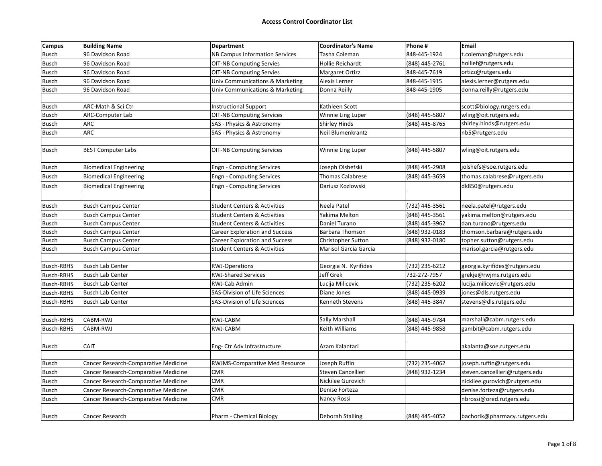| <b>Campus</b>     | <b>Building Name</b>                 | <b>Department</b>                       | <b>Coordinator's Name</b> | Phone #        | <b>Email</b>                   |
|-------------------|--------------------------------------|-----------------------------------------|---------------------------|----------------|--------------------------------|
| <b>Busch</b>      | 96 Davidson Road                     | NB Campus Information Services          | Tasha Coleman             | 848-445-1924   | t.coleman@rutgers.edu          |
| Busch             | 96 Davidson Road                     | <b>OIT-NB Computing Servies</b>         | Hollie Reichardt          | (848) 445-2761 | hollief@rutgers.edu            |
| <b>Busch</b>      | 96 Davidson Road                     | <b>OIT-NB Computing Servies</b>         | Margaret Ortizz           | 848-445-7619   | ortizz@rutgers.edu             |
| Busch             | 96 Davidson Road                     | Univ Communications & Marketing         | Alexis Lerner             | 848-445-1915   | alexis.lerner@rutgers.edu      |
| <b>Busch</b>      | 96 Davidson Road                     | Univ Communications & Marketing         | Donna Reilly              | 848-445-1905   | donna.reilly@rutgers.edu       |
|                   |                                      |                                         |                           |                |                                |
| <b>Busch</b>      | ARC-Math & Sci Ctr                   | <b>Instructional Support</b>            | Kathleen Scott            |                | scott@biology.rutgers.edu      |
| <b>Busch</b>      | <b>ARC-Computer Lab</b>              | <b>OIT-NB Computing Services</b>        | Winnie Ling Luper         | (848) 445-5807 | wling@oit.rutgers.edu          |
| <b>Busch</b>      | <b>ARC</b>                           | SAS - Physics & Astronomy               | <b>Shirley Hinds</b>      | (848) 445-8765 | shirley.hinds@rutgers.edu      |
| <b>Busch</b>      | ARC                                  | SAS - Physics & Astronomy               | Neil Blumenkrantz         |                | nb5@rutgers.edu                |
|                   |                                      |                                         |                           |                |                                |
| Busch             | <b>BEST Computer Labs</b>            | <b>OIT-NB Computing Services</b>        | Winnie Ling Luper         | (848) 445-5807 | wling@oit.rutgers.edu          |
|                   |                                      |                                         |                           |                |                                |
| <b>Busch</b>      | <b>Biomedical Engineering</b>        | <b>Engn - Computing Services</b>        | Joseph Olshefski          | (848) 445-2908 | jolshefs@soe.rutgers.edu       |
| <b>Busch</b>      | <b>Biomedical Engineering</b>        | <b>Engn - Computing Services</b>        | <b>Thomas Calabrese</b>   | (848) 445-3659 | thomas.calabrese@rutgers.edu   |
| <b>Busch</b>      | <b>Biomedical Engineering</b>        | <b>Engn - Computing Services</b>        | Dariusz Kozlowski         |                | dk850@rutgers.edu              |
|                   |                                      |                                         |                           |                |                                |
| <b>Busch</b>      | <b>Busch Campus Center</b>           | <b>Student Centers &amp; Activities</b> | Neela Patel               | (732) 445-3561 | neela.patel@rutgers.edu        |
| <b>Busch</b>      | <b>Busch Campus Center</b>           | <b>Student Centers &amp; Activities</b> | Yakima Melton             | (848) 445-3561 | yakima.melton@rutgers.edu      |
| <b>Busch</b>      | <b>Busch Campus Center</b>           | <b>Student Centers &amp; Activities</b> | Daniel Turano             | (848) 445-3962 | dan.turano@rutgers.edu         |
| <b>Busch</b>      | <b>Busch Campus Center</b>           | <b>Career Exploration and Success</b>   | Barbara Thomson           | (848) 932-0183 | thomson.barbara@rutgers.edu    |
| <b>Busch</b>      | <b>Busch Campus Center</b>           | <b>Career Exploration and Success</b>   | Christopher Sutton        | (848) 932-0180 | topher.sutton@rutgers.edu      |
| <b>Busch</b>      | <b>Busch Campus Center</b>           | <b>Student Centers &amp; Activities</b> | Marisol Garcia Garcia     |                | marisol.garcia@rutgers.edu     |
|                   |                                      |                                         |                           |                |                                |
| <b>Busch-RBHS</b> | <b>Busch Lab Center</b>              | <b>RWJ-Operations</b>                   | Georgia N. Kyrifides      | (732) 235-6212 | georgia.kyrifides@rutgers.edu  |
| <b>Busch-RBHS</b> | <b>Busch Lab Center</b>              | <b>RWJ-Shared Services</b>              | Jeff Grek                 | 732-272-7957   | grekje@rwjms.rutgers.edu       |
| <b>Busch-RBHS</b> | <b>Busch Lab Center</b>              | RWJ-Cab Admin                           | Lucija Milicevic          | (732) 235-6202 | lucija.milicevic@rutgers.edu   |
| <b>Busch-RBHS</b> | <b>Busch Lab Center</b>              | SAS-Division of Life Sciences           | Diane Jones               | (848) 445-0939 | jones@dls.rutgers.edu          |
| <b>Busch-RBHS</b> | <b>Busch Lab Center</b>              | SAS-Division of Life Sciences           | Kenneth Stevens           | (848) 445-3847 | stevens@dls.rutgers.edu        |
|                   |                                      |                                         |                           |                |                                |
| <b>Busch-RBHS</b> | CABM-RWJ                             | RWJ-CABM                                | Sally Marshall            | (848) 445-9784 | marshall@cabm.rutgers.edu      |
| <b>Busch-RBHS</b> | <b>CABM-RWJ</b>                      | RWJ-CABM                                | Keith Williams            | (848) 445-9858 | gambit@cabm.rutgers.edu        |
|                   |                                      |                                         |                           |                |                                |
| <b>Busch</b>      | <b>CAIT</b>                          | Eng- Ctr Adv Infrastructure             | Azam Kalantari            |                | akalanta@soe.rutgers.edu       |
|                   |                                      |                                         |                           |                |                                |
| <b>Busch</b>      | Cancer Research-Comparative Medicine | RWJMS-Comparative Med Resource          | Joseph Ruffin             | (732) 235-4062 | joseph.ruffin@rutgers.edu      |
| <b>Busch</b>      | Cancer Research-Comparative Medicine | <b>CMR</b>                              | Steven Cancellieri        | (848) 932-1234 | steven.cancellieri@rutgers.edu |
| <b>Busch</b>      | Cancer Research-Comparative Medicine | <b>CMR</b>                              | Nickilee Gurovich         |                | nickilee.gurovich@rutgers.edu  |
| <b>Busch</b>      | Cancer Research-Comparative Medicine | <b>CMR</b>                              | Denise Forteza            |                | denise.forteza@rutgers.edu     |
| <b>Busch</b>      | Cancer Research-Comparative Medicine | <b>CMR</b>                              | Nancy Rossi               |                | nbrossi@ored.rutgers.edu       |
|                   |                                      |                                         |                           |                |                                |
| <b>Busch</b>      | Cancer Research                      | <b>Pharm - Chemical Biology</b>         | Deborah Stalling          | (848) 445-4052 | bachorik@pharmacy.rutgers.edu  |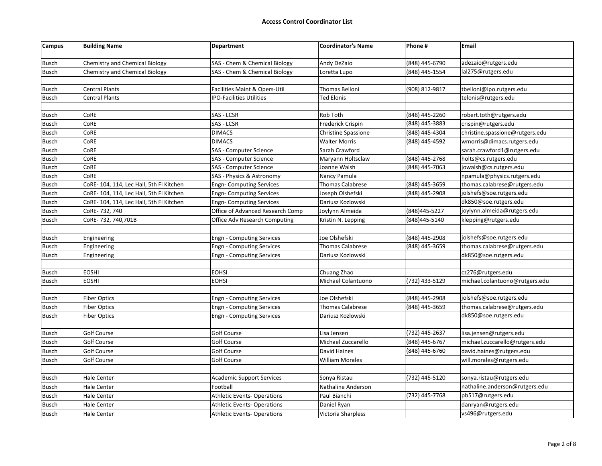| adezaio@rutgers.edu<br><b>Chemistry and Chemical Biology</b><br>SAS - Chem & Chemical Biology<br>Andy DeZaio<br>(848) 445-6790<br><b>Chemistry and Chemical Biology</b><br>SAS - Chem & Chemical Biology<br>(848) 445-1554<br>lal275@rutgers.edu<br>Loretta Lupo<br><b>Central Plants</b><br>Facilities Maint & Opers-Util<br><b>Thomas Belloni</b><br>tbelloni@ipo.rutgers.edu<br>(908) 812-9817<br><b>IPO-Facilities Utilities</b><br>Central Plants<br><b>Ted Elonis</b><br>telonis@rutgers.edu<br>CoRE<br>SAS - LCSR<br>Rob Toth<br>(848) 445-2260<br>robert.toth@rutgers.edu<br>CoRE<br>SAS - LCSR<br>(848) 445-3883<br>Frederick Crispin<br>crispin@rutgers.edu<br>CoRE<br>(848) 445-4304<br><b>DIMACS</b><br><b>Christine Spassione</b><br>christine.spassione@rutgers.edu<br>CoRE<br>(848) 445-4592<br><b>Busch</b><br><b>DIMACS</b><br><b>Walter Morris</b><br>wmorris@dimacs.rutgers.edu<br>CoRE<br>SAS - Computer Science<br>Sarah Crawford<br>sarah.crawford1@rutgers.edu<br>(848) 445-2768<br>CoRE<br>SAS - Computer Science<br>Maryann Holtsclaw<br>holts@cs.rutgers.edu<br>CoRE<br>SAS - Computer Science<br>(848) 445-7063<br>jowalsh@cs.rutgers.edu<br>Joanne Walsh<br>CoRE<br>SAS - Physics & Astronomy<br>Nancy Pamula<br>npamula@physics.rutgers.edu<br><b>Thomas Calabrese</b><br>(848) 445-3659<br>thomas.calabrese@rutgers.edu<br>CoRE-104, 114, Lec Hall, 5th Fl Kitchen<br><b>Engn- Computing Services</b><br>jolshefs@soe.rutgers.edu<br>CoRE- 104, 114, Lec Hall, 5th Fl Kitchen<br><b>Engn- Computing Services</b><br>Joseph Olshefski<br>(848) 445-2908<br>dk850@soe.rutgers.edu<br><b>Busch</b><br>CoRE-104, 114, Lec Hall, 5th Fl Kitchen<br><b>Engn- Computing Services</b><br>Dariusz Kozlowski<br>CoRE-732, 740<br>Office of Advanced Research Comp<br>joylynn.almeida@rutgers.edu<br><b>Busch</b><br>Joylynn Almeida<br>(848)445-5227<br>klepping@rutgers.edu<br>CoRE-732, 740, 701B<br><b>Office Adv Research Computing</b><br>(848) 445-5140<br>Kristin N. Lepping<br>Joe Olshefski<br>(848) 445-2908<br>jolshefs@soe.rutgers.edu<br><b>Engn - Computing Services</b><br>Engineering<br>Engineering<br><b>Engn - Computing Services</b><br><b>Thomas Calabrese</b><br>(848) 445-3659<br>thomas.calabrese@rutgers.edu<br><b>Engn - Computing Services</b><br>dk850@soe.rutgers.edu<br>Engineering<br>Dariusz Kozlowski<br><b>EOSHI</b><br><b>EOHSI</b><br>Chuang Zhao<br>cz276@rutgers.edu<br><b>EOSHI</b><br><b>EOHSI</b><br>Michael Colantuono<br>(732) 433-5129<br>michael.colantuono@rutgers.edu<br>(848) 445-2908<br>jolshefs@soe.rutgers.edu<br><b>Fiber Optics</b><br><b>Engn - Computing Services</b><br>Joe Olshefski<br>(848) 445-3659<br>thomas.calabrese@rutgers.edu<br><b>Fiber Optics</b><br><b>Engn - Computing Services</b><br><b>Thomas Calabrese</b><br>dk850@soe.rutgers.edu<br><b>Fiber Optics</b><br><b>Engn - Computing Services</b><br>Dariusz Kozlowski<br>(732) 445-2637<br><b>Golf Course</b><br><b>Golf Course</b><br>lisa.jensen@rutgers.edu<br>Lisa Jensen<br>(848) 445-6767<br><b>Golf Course</b><br><b>Golf Course</b><br>michael.zuccarello@rutgers.edu<br>Michael Zuccarello<br><b>Golf Course</b><br><b>Golf Course</b><br>David Haines<br>(848) 445-6760<br>david.haines@rutgers.edu<br><b>Busch</b><br><b>Golf Course</b><br><b>Busch</b><br><b>Golf Course</b><br>will.morales@rutgers.edu<br><b>William Morales</b><br>(732) 445-5120<br>sonya.ristau@rutgers.edu<br><b>Hale Center</b><br><b>Academic Support Services</b><br>Sonya Ristau<br>Football<br>nathaline.anderson@rutgers.edu<br><b>Hale Center</b><br>Nathaline Anderson<br><b>Hale Center</b><br>pb517@rutgers.edu<br><b>Athletic Events- Operations</b><br>Paul Bianchi<br>(732) 445-7768<br>danryan@rutgers.edu<br><b>Hale Center</b><br><b>Busch</b><br><b>Athletic Events- Operations</b><br>Daniel Ryan | Campus       | <b>Building Name</b> | <b>Department</b>                 | <b>Coordinator's Name</b> | Phone # | Email             |
|------------------------------------------------------------------------------------------------------------------------------------------------------------------------------------------------------------------------------------------------------------------------------------------------------------------------------------------------------------------------------------------------------------------------------------------------------------------------------------------------------------------------------------------------------------------------------------------------------------------------------------------------------------------------------------------------------------------------------------------------------------------------------------------------------------------------------------------------------------------------------------------------------------------------------------------------------------------------------------------------------------------------------------------------------------------------------------------------------------------------------------------------------------------------------------------------------------------------------------------------------------------------------------------------------------------------------------------------------------------------------------------------------------------------------------------------------------------------------------------------------------------------------------------------------------------------------------------------------------------------------------------------------------------------------------------------------------------------------------------------------------------------------------------------------------------------------------------------------------------------------------------------------------------------------------------------------------------------------------------------------------------------------------------------------------------------------------------------------------------------------------------------------------------------------------------------------------------------------------------------------------------------------------------------------------------------------------------------------------------------------------------------------------------------------------------------------------------------------------------------------------------------------------------------------------------------------------------------------------------------------------------------------------------------------------------------------------------------------------------------------------------------------------------------------------------------------------------------------------------------------------------------------------------------------------------------------------------------------------------------------------------------------------------------------------------------------------------------------------------------------------------------------------------------------------------------------------------------------------------------------------------------------------------------------------------------------------------------------------------------------------------------------------------------------------------------------------------------------------------------------------------------------------------------------------------------------------------------------------------------------------------------------------------------------------------------------------------------------------------------------------------------------------------------------------------------------------------------------|--------------|----------------------|-----------------------------------|---------------------------|---------|-------------------|
|                                                                                                                                                                                                                                                                                                                                                                                                                                                                                                                                                                                                                                                                                                                                                                                                                                                                                                                                                                                                                                                                                                                                                                                                                                                                                                                                                                                                                                                                                                                                                                                                                                                                                                                                                                                                                                                                                                                                                                                                                                                                                                                                                                                                                                                                                                                                                                                                                                                                                                                                                                                                                                                                                                                                                                                                                                                                                                                                                                                                                                                                                                                                                                                                                                                                                                                                                                                                                                                                                                                                                                                                                                                                                                                                                                                                                                                      |              |                      |                                   |                           |         |                   |
|                                                                                                                                                                                                                                                                                                                                                                                                                                                                                                                                                                                                                                                                                                                                                                                                                                                                                                                                                                                                                                                                                                                                                                                                                                                                                                                                                                                                                                                                                                                                                                                                                                                                                                                                                                                                                                                                                                                                                                                                                                                                                                                                                                                                                                                                                                                                                                                                                                                                                                                                                                                                                                                                                                                                                                                                                                                                                                                                                                                                                                                                                                                                                                                                                                                                                                                                                                                                                                                                                                                                                                                                                                                                                                                                                                                                                                                      | <b>Busch</b> |                      |                                   |                           |         |                   |
|                                                                                                                                                                                                                                                                                                                                                                                                                                                                                                                                                                                                                                                                                                                                                                                                                                                                                                                                                                                                                                                                                                                                                                                                                                                                                                                                                                                                                                                                                                                                                                                                                                                                                                                                                                                                                                                                                                                                                                                                                                                                                                                                                                                                                                                                                                                                                                                                                                                                                                                                                                                                                                                                                                                                                                                                                                                                                                                                                                                                                                                                                                                                                                                                                                                                                                                                                                                                                                                                                                                                                                                                                                                                                                                                                                                                                                                      | Busch        |                      |                                   |                           |         |                   |
|                                                                                                                                                                                                                                                                                                                                                                                                                                                                                                                                                                                                                                                                                                                                                                                                                                                                                                                                                                                                                                                                                                                                                                                                                                                                                                                                                                                                                                                                                                                                                                                                                                                                                                                                                                                                                                                                                                                                                                                                                                                                                                                                                                                                                                                                                                                                                                                                                                                                                                                                                                                                                                                                                                                                                                                                                                                                                                                                                                                                                                                                                                                                                                                                                                                                                                                                                                                                                                                                                                                                                                                                                                                                                                                                                                                                                                                      |              |                      |                                   |                           |         |                   |
|                                                                                                                                                                                                                                                                                                                                                                                                                                                                                                                                                                                                                                                                                                                                                                                                                                                                                                                                                                                                                                                                                                                                                                                                                                                                                                                                                                                                                                                                                                                                                                                                                                                                                                                                                                                                                                                                                                                                                                                                                                                                                                                                                                                                                                                                                                                                                                                                                                                                                                                                                                                                                                                                                                                                                                                                                                                                                                                                                                                                                                                                                                                                                                                                                                                                                                                                                                                                                                                                                                                                                                                                                                                                                                                                                                                                                                                      | <b>Busch</b> |                      |                                   |                           |         |                   |
|                                                                                                                                                                                                                                                                                                                                                                                                                                                                                                                                                                                                                                                                                                                                                                                                                                                                                                                                                                                                                                                                                                                                                                                                                                                                                                                                                                                                                                                                                                                                                                                                                                                                                                                                                                                                                                                                                                                                                                                                                                                                                                                                                                                                                                                                                                                                                                                                                                                                                                                                                                                                                                                                                                                                                                                                                                                                                                                                                                                                                                                                                                                                                                                                                                                                                                                                                                                                                                                                                                                                                                                                                                                                                                                                                                                                                                                      | <b>Busch</b> |                      |                                   |                           |         |                   |
|                                                                                                                                                                                                                                                                                                                                                                                                                                                                                                                                                                                                                                                                                                                                                                                                                                                                                                                                                                                                                                                                                                                                                                                                                                                                                                                                                                                                                                                                                                                                                                                                                                                                                                                                                                                                                                                                                                                                                                                                                                                                                                                                                                                                                                                                                                                                                                                                                                                                                                                                                                                                                                                                                                                                                                                                                                                                                                                                                                                                                                                                                                                                                                                                                                                                                                                                                                                                                                                                                                                                                                                                                                                                                                                                                                                                                                                      |              |                      |                                   |                           |         |                   |
|                                                                                                                                                                                                                                                                                                                                                                                                                                                                                                                                                                                                                                                                                                                                                                                                                                                                                                                                                                                                                                                                                                                                                                                                                                                                                                                                                                                                                                                                                                                                                                                                                                                                                                                                                                                                                                                                                                                                                                                                                                                                                                                                                                                                                                                                                                                                                                                                                                                                                                                                                                                                                                                                                                                                                                                                                                                                                                                                                                                                                                                                                                                                                                                                                                                                                                                                                                                                                                                                                                                                                                                                                                                                                                                                                                                                                                                      | <b>Busch</b> |                      |                                   |                           |         |                   |
|                                                                                                                                                                                                                                                                                                                                                                                                                                                                                                                                                                                                                                                                                                                                                                                                                                                                                                                                                                                                                                                                                                                                                                                                                                                                                                                                                                                                                                                                                                                                                                                                                                                                                                                                                                                                                                                                                                                                                                                                                                                                                                                                                                                                                                                                                                                                                                                                                                                                                                                                                                                                                                                                                                                                                                                                                                                                                                                                                                                                                                                                                                                                                                                                                                                                                                                                                                                                                                                                                                                                                                                                                                                                                                                                                                                                                                                      | <b>Busch</b> |                      |                                   |                           |         |                   |
|                                                                                                                                                                                                                                                                                                                                                                                                                                                                                                                                                                                                                                                                                                                                                                                                                                                                                                                                                                                                                                                                                                                                                                                                                                                                                                                                                                                                                                                                                                                                                                                                                                                                                                                                                                                                                                                                                                                                                                                                                                                                                                                                                                                                                                                                                                                                                                                                                                                                                                                                                                                                                                                                                                                                                                                                                                                                                                                                                                                                                                                                                                                                                                                                                                                                                                                                                                                                                                                                                                                                                                                                                                                                                                                                                                                                                                                      | <b>Busch</b> |                      |                                   |                           |         |                   |
|                                                                                                                                                                                                                                                                                                                                                                                                                                                                                                                                                                                                                                                                                                                                                                                                                                                                                                                                                                                                                                                                                                                                                                                                                                                                                                                                                                                                                                                                                                                                                                                                                                                                                                                                                                                                                                                                                                                                                                                                                                                                                                                                                                                                                                                                                                                                                                                                                                                                                                                                                                                                                                                                                                                                                                                                                                                                                                                                                                                                                                                                                                                                                                                                                                                                                                                                                                                                                                                                                                                                                                                                                                                                                                                                                                                                                                                      |              |                      |                                   |                           |         |                   |
|                                                                                                                                                                                                                                                                                                                                                                                                                                                                                                                                                                                                                                                                                                                                                                                                                                                                                                                                                                                                                                                                                                                                                                                                                                                                                                                                                                                                                                                                                                                                                                                                                                                                                                                                                                                                                                                                                                                                                                                                                                                                                                                                                                                                                                                                                                                                                                                                                                                                                                                                                                                                                                                                                                                                                                                                                                                                                                                                                                                                                                                                                                                                                                                                                                                                                                                                                                                                                                                                                                                                                                                                                                                                                                                                                                                                                                                      | <b>Busch</b> |                      |                                   |                           |         |                   |
|                                                                                                                                                                                                                                                                                                                                                                                                                                                                                                                                                                                                                                                                                                                                                                                                                                                                                                                                                                                                                                                                                                                                                                                                                                                                                                                                                                                                                                                                                                                                                                                                                                                                                                                                                                                                                                                                                                                                                                                                                                                                                                                                                                                                                                                                                                                                                                                                                                                                                                                                                                                                                                                                                                                                                                                                                                                                                                                                                                                                                                                                                                                                                                                                                                                                                                                                                                                                                                                                                                                                                                                                                                                                                                                                                                                                                                                      | <b>Busch</b> |                      |                                   |                           |         |                   |
|                                                                                                                                                                                                                                                                                                                                                                                                                                                                                                                                                                                                                                                                                                                                                                                                                                                                                                                                                                                                                                                                                                                                                                                                                                                                                                                                                                                                                                                                                                                                                                                                                                                                                                                                                                                                                                                                                                                                                                                                                                                                                                                                                                                                                                                                                                                                                                                                                                                                                                                                                                                                                                                                                                                                                                                                                                                                                                                                                                                                                                                                                                                                                                                                                                                                                                                                                                                                                                                                                                                                                                                                                                                                                                                                                                                                                                                      | Busch        |                      |                                   |                           |         |                   |
|                                                                                                                                                                                                                                                                                                                                                                                                                                                                                                                                                                                                                                                                                                                                                                                                                                                                                                                                                                                                                                                                                                                                                                                                                                                                                                                                                                                                                                                                                                                                                                                                                                                                                                                                                                                                                                                                                                                                                                                                                                                                                                                                                                                                                                                                                                                                                                                                                                                                                                                                                                                                                                                                                                                                                                                                                                                                                                                                                                                                                                                                                                                                                                                                                                                                                                                                                                                                                                                                                                                                                                                                                                                                                                                                                                                                                                                      | Busch        |                      |                                   |                           |         |                   |
|                                                                                                                                                                                                                                                                                                                                                                                                                                                                                                                                                                                                                                                                                                                                                                                                                                                                                                                                                                                                                                                                                                                                                                                                                                                                                                                                                                                                                                                                                                                                                                                                                                                                                                                                                                                                                                                                                                                                                                                                                                                                                                                                                                                                                                                                                                                                                                                                                                                                                                                                                                                                                                                                                                                                                                                                                                                                                                                                                                                                                                                                                                                                                                                                                                                                                                                                                                                                                                                                                                                                                                                                                                                                                                                                                                                                                                                      | <b>Busch</b> |                      |                                   |                           |         |                   |
|                                                                                                                                                                                                                                                                                                                                                                                                                                                                                                                                                                                                                                                                                                                                                                                                                                                                                                                                                                                                                                                                                                                                                                                                                                                                                                                                                                                                                                                                                                                                                                                                                                                                                                                                                                                                                                                                                                                                                                                                                                                                                                                                                                                                                                                                                                                                                                                                                                                                                                                                                                                                                                                                                                                                                                                                                                                                                                                                                                                                                                                                                                                                                                                                                                                                                                                                                                                                                                                                                                                                                                                                                                                                                                                                                                                                                                                      | Busch        |                      |                                   |                           |         |                   |
|                                                                                                                                                                                                                                                                                                                                                                                                                                                                                                                                                                                                                                                                                                                                                                                                                                                                                                                                                                                                                                                                                                                                                                                                                                                                                                                                                                                                                                                                                                                                                                                                                                                                                                                                                                                                                                                                                                                                                                                                                                                                                                                                                                                                                                                                                                                                                                                                                                                                                                                                                                                                                                                                                                                                                                                                                                                                                                                                                                                                                                                                                                                                                                                                                                                                                                                                                                                                                                                                                                                                                                                                                                                                                                                                                                                                                                                      |              |                      |                                   |                           |         |                   |
|                                                                                                                                                                                                                                                                                                                                                                                                                                                                                                                                                                                                                                                                                                                                                                                                                                                                                                                                                                                                                                                                                                                                                                                                                                                                                                                                                                                                                                                                                                                                                                                                                                                                                                                                                                                                                                                                                                                                                                                                                                                                                                                                                                                                                                                                                                                                                                                                                                                                                                                                                                                                                                                                                                                                                                                                                                                                                                                                                                                                                                                                                                                                                                                                                                                                                                                                                                                                                                                                                                                                                                                                                                                                                                                                                                                                                                                      |              |                      |                                   |                           |         |                   |
|                                                                                                                                                                                                                                                                                                                                                                                                                                                                                                                                                                                                                                                                                                                                                                                                                                                                                                                                                                                                                                                                                                                                                                                                                                                                                                                                                                                                                                                                                                                                                                                                                                                                                                                                                                                                                                                                                                                                                                                                                                                                                                                                                                                                                                                                                                                                                                                                                                                                                                                                                                                                                                                                                                                                                                                                                                                                                                                                                                                                                                                                                                                                                                                                                                                                                                                                                                                                                                                                                                                                                                                                                                                                                                                                                                                                                                                      | <b>Busch</b> |                      |                                   |                           |         |                   |
|                                                                                                                                                                                                                                                                                                                                                                                                                                                                                                                                                                                                                                                                                                                                                                                                                                                                                                                                                                                                                                                                                                                                                                                                                                                                                                                                                                                                                                                                                                                                                                                                                                                                                                                                                                                                                                                                                                                                                                                                                                                                                                                                                                                                                                                                                                                                                                                                                                                                                                                                                                                                                                                                                                                                                                                                                                                                                                                                                                                                                                                                                                                                                                                                                                                                                                                                                                                                                                                                                                                                                                                                                                                                                                                                                                                                                                                      |              |                      |                                   |                           |         |                   |
|                                                                                                                                                                                                                                                                                                                                                                                                                                                                                                                                                                                                                                                                                                                                                                                                                                                                                                                                                                                                                                                                                                                                                                                                                                                                                                                                                                                                                                                                                                                                                                                                                                                                                                                                                                                                                                                                                                                                                                                                                                                                                                                                                                                                                                                                                                                                                                                                                                                                                                                                                                                                                                                                                                                                                                                                                                                                                                                                                                                                                                                                                                                                                                                                                                                                                                                                                                                                                                                                                                                                                                                                                                                                                                                                                                                                                                                      | Busch        |                      |                                   |                           |         |                   |
|                                                                                                                                                                                                                                                                                                                                                                                                                                                                                                                                                                                                                                                                                                                                                                                                                                                                                                                                                                                                                                                                                                                                                                                                                                                                                                                                                                                                                                                                                                                                                                                                                                                                                                                                                                                                                                                                                                                                                                                                                                                                                                                                                                                                                                                                                                                                                                                                                                                                                                                                                                                                                                                                                                                                                                                                                                                                                                                                                                                                                                                                                                                                                                                                                                                                                                                                                                                                                                                                                                                                                                                                                                                                                                                                                                                                                                                      | <b>Busch</b> |                      |                                   |                           |         |                   |
|                                                                                                                                                                                                                                                                                                                                                                                                                                                                                                                                                                                                                                                                                                                                                                                                                                                                                                                                                                                                                                                                                                                                                                                                                                                                                                                                                                                                                                                                                                                                                                                                                                                                                                                                                                                                                                                                                                                                                                                                                                                                                                                                                                                                                                                                                                                                                                                                                                                                                                                                                                                                                                                                                                                                                                                                                                                                                                                                                                                                                                                                                                                                                                                                                                                                                                                                                                                                                                                                                                                                                                                                                                                                                                                                                                                                                                                      | <b>Busch</b> |                      |                                   |                           |         |                   |
|                                                                                                                                                                                                                                                                                                                                                                                                                                                                                                                                                                                                                                                                                                                                                                                                                                                                                                                                                                                                                                                                                                                                                                                                                                                                                                                                                                                                                                                                                                                                                                                                                                                                                                                                                                                                                                                                                                                                                                                                                                                                                                                                                                                                                                                                                                                                                                                                                                                                                                                                                                                                                                                                                                                                                                                                                                                                                                                                                                                                                                                                                                                                                                                                                                                                                                                                                                                                                                                                                                                                                                                                                                                                                                                                                                                                                                                      |              |                      |                                   |                           |         |                   |
|                                                                                                                                                                                                                                                                                                                                                                                                                                                                                                                                                                                                                                                                                                                                                                                                                                                                                                                                                                                                                                                                                                                                                                                                                                                                                                                                                                                                                                                                                                                                                                                                                                                                                                                                                                                                                                                                                                                                                                                                                                                                                                                                                                                                                                                                                                                                                                                                                                                                                                                                                                                                                                                                                                                                                                                                                                                                                                                                                                                                                                                                                                                                                                                                                                                                                                                                                                                                                                                                                                                                                                                                                                                                                                                                                                                                                                                      | Busch        |                      |                                   |                           |         |                   |
|                                                                                                                                                                                                                                                                                                                                                                                                                                                                                                                                                                                                                                                                                                                                                                                                                                                                                                                                                                                                                                                                                                                                                                                                                                                                                                                                                                                                                                                                                                                                                                                                                                                                                                                                                                                                                                                                                                                                                                                                                                                                                                                                                                                                                                                                                                                                                                                                                                                                                                                                                                                                                                                                                                                                                                                                                                                                                                                                                                                                                                                                                                                                                                                                                                                                                                                                                                                                                                                                                                                                                                                                                                                                                                                                                                                                                                                      | <b>Busch</b> |                      |                                   |                           |         |                   |
|                                                                                                                                                                                                                                                                                                                                                                                                                                                                                                                                                                                                                                                                                                                                                                                                                                                                                                                                                                                                                                                                                                                                                                                                                                                                                                                                                                                                                                                                                                                                                                                                                                                                                                                                                                                                                                                                                                                                                                                                                                                                                                                                                                                                                                                                                                                                                                                                                                                                                                                                                                                                                                                                                                                                                                                                                                                                                                                                                                                                                                                                                                                                                                                                                                                                                                                                                                                                                                                                                                                                                                                                                                                                                                                                                                                                                                                      |              |                      |                                   |                           |         |                   |
|                                                                                                                                                                                                                                                                                                                                                                                                                                                                                                                                                                                                                                                                                                                                                                                                                                                                                                                                                                                                                                                                                                                                                                                                                                                                                                                                                                                                                                                                                                                                                                                                                                                                                                                                                                                                                                                                                                                                                                                                                                                                                                                                                                                                                                                                                                                                                                                                                                                                                                                                                                                                                                                                                                                                                                                                                                                                                                                                                                                                                                                                                                                                                                                                                                                                                                                                                                                                                                                                                                                                                                                                                                                                                                                                                                                                                                                      | Busch        |                      |                                   |                           |         |                   |
|                                                                                                                                                                                                                                                                                                                                                                                                                                                                                                                                                                                                                                                                                                                                                                                                                                                                                                                                                                                                                                                                                                                                                                                                                                                                                                                                                                                                                                                                                                                                                                                                                                                                                                                                                                                                                                                                                                                                                                                                                                                                                                                                                                                                                                                                                                                                                                                                                                                                                                                                                                                                                                                                                                                                                                                                                                                                                                                                                                                                                                                                                                                                                                                                                                                                                                                                                                                                                                                                                                                                                                                                                                                                                                                                                                                                                                                      | <b>Busch</b> |                      |                                   |                           |         |                   |
|                                                                                                                                                                                                                                                                                                                                                                                                                                                                                                                                                                                                                                                                                                                                                                                                                                                                                                                                                                                                                                                                                                                                                                                                                                                                                                                                                                                                                                                                                                                                                                                                                                                                                                                                                                                                                                                                                                                                                                                                                                                                                                                                                                                                                                                                                                                                                                                                                                                                                                                                                                                                                                                                                                                                                                                                                                                                                                                                                                                                                                                                                                                                                                                                                                                                                                                                                                                                                                                                                                                                                                                                                                                                                                                                                                                                                                                      | <b>Busch</b> |                      |                                   |                           |         |                   |
|                                                                                                                                                                                                                                                                                                                                                                                                                                                                                                                                                                                                                                                                                                                                                                                                                                                                                                                                                                                                                                                                                                                                                                                                                                                                                                                                                                                                                                                                                                                                                                                                                                                                                                                                                                                                                                                                                                                                                                                                                                                                                                                                                                                                                                                                                                                                                                                                                                                                                                                                                                                                                                                                                                                                                                                                                                                                                                                                                                                                                                                                                                                                                                                                                                                                                                                                                                                                                                                                                                                                                                                                                                                                                                                                                                                                                                                      |              |                      |                                   |                           |         |                   |
|                                                                                                                                                                                                                                                                                                                                                                                                                                                                                                                                                                                                                                                                                                                                                                                                                                                                                                                                                                                                                                                                                                                                                                                                                                                                                                                                                                                                                                                                                                                                                                                                                                                                                                                                                                                                                                                                                                                                                                                                                                                                                                                                                                                                                                                                                                                                                                                                                                                                                                                                                                                                                                                                                                                                                                                                                                                                                                                                                                                                                                                                                                                                                                                                                                                                                                                                                                                                                                                                                                                                                                                                                                                                                                                                                                                                                                                      | Busch        |                      |                                   |                           |         |                   |
|                                                                                                                                                                                                                                                                                                                                                                                                                                                                                                                                                                                                                                                                                                                                                                                                                                                                                                                                                                                                                                                                                                                                                                                                                                                                                                                                                                                                                                                                                                                                                                                                                                                                                                                                                                                                                                                                                                                                                                                                                                                                                                                                                                                                                                                                                                                                                                                                                                                                                                                                                                                                                                                                                                                                                                                                                                                                                                                                                                                                                                                                                                                                                                                                                                                                                                                                                                                                                                                                                                                                                                                                                                                                                                                                                                                                                                                      | <b>Busch</b> |                      |                                   |                           |         |                   |
|                                                                                                                                                                                                                                                                                                                                                                                                                                                                                                                                                                                                                                                                                                                                                                                                                                                                                                                                                                                                                                                                                                                                                                                                                                                                                                                                                                                                                                                                                                                                                                                                                                                                                                                                                                                                                                                                                                                                                                                                                                                                                                                                                                                                                                                                                                                                                                                                                                                                                                                                                                                                                                                                                                                                                                                                                                                                                                                                                                                                                                                                                                                                                                                                                                                                                                                                                                                                                                                                                                                                                                                                                                                                                                                                                                                                                                                      |              |                      |                                   |                           |         |                   |
|                                                                                                                                                                                                                                                                                                                                                                                                                                                                                                                                                                                                                                                                                                                                                                                                                                                                                                                                                                                                                                                                                                                                                                                                                                                                                                                                                                                                                                                                                                                                                                                                                                                                                                                                                                                                                                                                                                                                                                                                                                                                                                                                                                                                                                                                                                                                                                                                                                                                                                                                                                                                                                                                                                                                                                                                                                                                                                                                                                                                                                                                                                                                                                                                                                                                                                                                                                                                                                                                                                                                                                                                                                                                                                                                                                                                                                                      |              |                      |                                   |                           |         |                   |
|                                                                                                                                                                                                                                                                                                                                                                                                                                                                                                                                                                                                                                                                                                                                                                                                                                                                                                                                                                                                                                                                                                                                                                                                                                                                                                                                                                                                                                                                                                                                                                                                                                                                                                                                                                                                                                                                                                                                                                                                                                                                                                                                                                                                                                                                                                                                                                                                                                                                                                                                                                                                                                                                                                                                                                                                                                                                                                                                                                                                                                                                                                                                                                                                                                                                                                                                                                                                                                                                                                                                                                                                                                                                                                                                                                                                                                                      |              |                      |                                   |                           |         |                   |
|                                                                                                                                                                                                                                                                                                                                                                                                                                                                                                                                                                                                                                                                                                                                                                                                                                                                                                                                                                                                                                                                                                                                                                                                                                                                                                                                                                                                                                                                                                                                                                                                                                                                                                                                                                                                                                                                                                                                                                                                                                                                                                                                                                                                                                                                                                                                                                                                                                                                                                                                                                                                                                                                                                                                                                                                                                                                                                                                                                                                                                                                                                                                                                                                                                                                                                                                                                                                                                                                                                                                                                                                                                                                                                                                                                                                                                                      | Busch        |                      |                                   |                           |         |                   |
|                                                                                                                                                                                                                                                                                                                                                                                                                                                                                                                                                                                                                                                                                                                                                                                                                                                                                                                                                                                                                                                                                                                                                                                                                                                                                                                                                                                                                                                                                                                                                                                                                                                                                                                                                                                                                                                                                                                                                                                                                                                                                                                                                                                                                                                                                                                                                                                                                                                                                                                                                                                                                                                                                                                                                                                                                                                                                                                                                                                                                                                                                                                                                                                                                                                                                                                                                                                                                                                                                                                                                                                                                                                                                                                                                                                                                                                      | <b>Busch</b> |                      |                                   |                           |         |                   |
|                                                                                                                                                                                                                                                                                                                                                                                                                                                                                                                                                                                                                                                                                                                                                                                                                                                                                                                                                                                                                                                                                                                                                                                                                                                                                                                                                                                                                                                                                                                                                                                                                                                                                                                                                                                                                                                                                                                                                                                                                                                                                                                                                                                                                                                                                                                                                                                                                                                                                                                                                                                                                                                                                                                                                                                                                                                                                                                                                                                                                                                                                                                                                                                                                                                                                                                                                                                                                                                                                                                                                                                                                                                                                                                                                                                                                                                      | Busch        |                      |                                   |                           |         |                   |
|                                                                                                                                                                                                                                                                                                                                                                                                                                                                                                                                                                                                                                                                                                                                                                                                                                                                                                                                                                                                                                                                                                                                                                                                                                                                                                                                                                                                                                                                                                                                                                                                                                                                                                                                                                                                                                                                                                                                                                                                                                                                                                                                                                                                                                                                                                                                                                                                                                                                                                                                                                                                                                                                                                                                                                                                                                                                                                                                                                                                                                                                                                                                                                                                                                                                                                                                                                                                                                                                                                                                                                                                                                                                                                                                                                                                                                                      |              |                      |                                   |                           |         |                   |
|                                                                                                                                                                                                                                                                                                                                                                                                                                                                                                                                                                                                                                                                                                                                                                                                                                                                                                                                                                                                                                                                                                                                                                                                                                                                                                                                                                                                                                                                                                                                                                                                                                                                                                                                                                                                                                                                                                                                                                                                                                                                                                                                                                                                                                                                                                                                                                                                                                                                                                                                                                                                                                                                                                                                                                                                                                                                                                                                                                                                                                                                                                                                                                                                                                                                                                                                                                                                                                                                                                                                                                                                                                                                                                                                                                                                                                                      | Busch        | <b>Hale Center</b>   | <b>Athletic Events-Operations</b> | Victoria Sharpless        |         | vs496@rutgers.edu |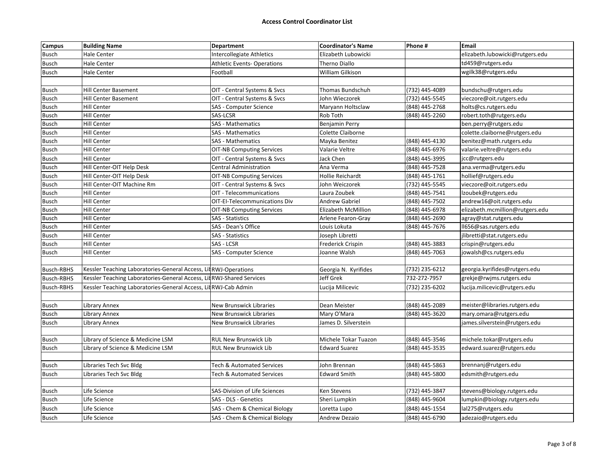| <b>Campus</b>     | <b>Building Name</b>                                                 | <b>Department</b>                    | <b>Coordinator's Name</b> | Phone#         | Email                           |
|-------------------|----------------------------------------------------------------------|--------------------------------------|---------------------------|----------------|---------------------------------|
| <b>Busch</b>      | <b>Hale Center</b>                                                   | Intercollegiate Athletics            | Elizabeth Lubowicki       |                | elizabeth.lubowicki@rutgers.edu |
| Busch             | Hale Center                                                          | <b>Athletic Events-Operations</b>    | Therno Diallo             |                | td459@rutgers.edu               |
| Busch             | Hale Center                                                          | Football                             | William Gilkison          |                | wgilk38@rutgers.edu             |
|                   |                                                                      |                                      |                           |                |                                 |
| <b>Busch</b>      | <b>Hill Center Basement</b>                                          | OIT - Central Systems & Svcs         | Thomas Bundschuh          | (732) 445-4089 | bundschu@rutgers.edu            |
| <b>Busch</b>      | Hill Center Basement                                                 | OIT - Central Systems & Svcs         | John Wieczorek            | (732) 445-5545 | vieczore@oit.rutgers.edu        |
| Busch             | Hill Center                                                          | SAS - Computer Science               | Maryann Holtsclaw         | (848) 445-2768 | holts@cs.rutgers.edu            |
| Busch             | Hill Center                                                          | SAS-LCSR                             | Rob Toth                  | (848) 445-2260 | robert.toth@rutgers.edu         |
| <b>Busch</b>      | <b>Hill Center</b>                                                   | <b>SAS - Mathematics</b>             | Benjamin Perry            |                | ben.perry@rutgers.edu           |
| Busch             | Hill Center                                                          | <b>SAS - Mathematics</b>             | Colette Claiborne         |                | colette.claiborne@rutgers.edu   |
| <b>Busch</b>      | Hill Center                                                          | <b>SAS - Mathematics</b>             | Mayka Benitez             | (848) 445-4130 | benitez@math.rutgers.edu        |
| <b>Busch</b>      | Hill Center                                                          | <b>OIT-NB Computing Services</b>     | Valarie Veltre            | (848) 445-6976 | valarie.veltre@rutgers.edu      |
| Busch             | Hill Center                                                          | OIT - Central Systems & Svcs         | Jack Chen                 | (848) 445-3995 | jcc@rutgers.edu                 |
| <b>Busch</b>      | Hill Center-OIT Help Desk                                            | <b>Central Administration</b>        | Ana Verma                 | (848) 445-7528 | ana.verma@rutgers.edu           |
| <b>Busch</b>      | Hill Center-OIT Help Desk                                            | <b>OIT-NB Computing Services</b>     | Hollie Reichardt          | (848) 445-1761 | hollief@rutgers.edu             |
| <b>Busch</b>      | Hill Center-OIT Machine Rm                                           | OIT - Central Systems & Svcs         | John Weiczorek            | (732) 445-5545 | vieczore@oit.rutgers.edu        |
| <b>Busch</b>      | <b>Hill Center</b>                                                   | OIT - Telecommunications             | Laura Zoubek              | (848) 445-7541 | Izoubek@rutgers.edu             |
| <b>Busch</b>      | Hill Center                                                          | OIT-EI-Telecommunications Div        | <b>Andrew Gabriel</b>     | (848) 445-7502 | andrew16@oit.rutgers.edu        |
| <b>Busch</b>      | <b>Hill Center</b>                                                   | <b>OIT-NB Computing Services</b>     | Elizabeth McMillion       | (848) 445-6978 | elizabeth.mcmillion@rutgers.edu |
| <b>Busch</b>      | <b>Hill Center</b>                                                   | <b>SAS</b> - Statistics              | Arlene Fearon-Gray        | (848) 445-2690 | agray@stat.rutgers.edu          |
| <b>Busch</b>      | <b>Hill Center</b>                                                   | SAS - Dean's Office                  | Louis Lokuta              | (848) 445-7676 | II656@sas.rutgers.edu           |
| <b>Busch</b>      | <b>Hill Center</b>                                                   | <b>SAS</b> - Statistics              | Joseph Libretti           |                | jlibretti@stat.rutgers.edu      |
| <b>Busch</b>      | Hill Center                                                          | <b>SAS - LCSR</b>                    | <b>Frederick Crispin</b>  | (848) 445-3883 | crispin@rutgers.edu             |
| Busch             | Hill Center                                                          | SAS - Computer Science               | Joanne Walsh              | (848) 445-7063 | jowalsh@cs.rutgers.edu          |
|                   |                                                                      |                                      |                           |                |                                 |
| <b>Busch-RBHS</b> | Kessler Teaching Laboratories-General Access, LitRWJ-Operations      |                                      | Georgia N. Kyrifides      | (732) 235-6212 | georgia.kyrifides@rutgers.edu   |
| Busch-RBHS        | Kessler Teaching Laboratories-General Access, LitRWJ-Shared Services |                                      | <b>Jeff Grek</b>          | 732-272-7957   | grekje@rwjms.rutgers.edu        |
| <b>Busch-RBHS</b> | Kessler Teaching Laboratories-General Access, LitRWJ-Cab Admin       |                                      | Lucija Milicevic          | (732) 235-6202 | lucija.milicevic@rutgers.edu    |
|                   |                                                                      |                                      |                           |                |                                 |
| Busch             | Library Annex                                                        | <b>New Brunswick Libraries</b>       | Dean Meister              | (848) 445-2089 | meister@libraries.rutgers.edu   |
| Busch             | Library Annex                                                        | New Brunswick Libraries              | Mary O'Mara               | (848) 445-3620 | mary.omara@rutgers.edu          |
| <b>Busch</b>      | Library Annex                                                        | <b>New Brunswick Libraries</b>       | James D. Silverstein      |                | james.silverstein@rutgers.edu   |
|                   |                                                                      |                                      |                           |                |                                 |
| <b>Busch</b>      | Library of Science & Medicine LSM                                    | <b>RUL New Brunswick Lib</b>         | Michele Tokar Tuazon      | (848) 445-3546 | michele.tokar@rutgers.edu       |
| <b>Busch</b>      | Library of Science & Medicine LSM                                    | <b>RUL New Brunswick Lib</b>         | <b>Edward Suarez</b>      | (848) 445-3535 | edward.suarez@rutgers.edu       |
|                   |                                                                      |                                      |                           |                |                                 |
| <b>Busch</b>      | Libraries Tech Svc Bldg                                              | <b>Tech &amp; Automated Services</b> | John Brennan              | (848) 445-5863 | brennanj@rutgers.edu            |
| <b>Busch</b>      | Libraries Tech Svc Bldg                                              | Tech & Automated Services            | <b>Edward Smith</b>       | (848) 445-5800 | edsmith@rutgers.edu             |
|                   |                                                                      |                                      |                           |                |                                 |
| <b>Busch</b>      | Life Science                                                         | SAS-Division of Life Sciences        | Ken Stevens               | (732) 445-3847 | stevens@biology.rutgers.edu     |
| <b>Busch</b>      | Life Science                                                         | SAS - DLS - Genetics                 | Sheri Lumpkin             | (848) 445-9604 | lumpkin@biology.rutgers.edu     |
| Busch             | Life Science                                                         | SAS - Chem & Chemical Biology        | Loretta Lupo              | (848) 445-1554 | lal275@rutgers.edu              |
| Busch             | Life Science                                                         | SAS - Chem & Chemical Biology        | Andrew Dezaio             | (848) 445-6790 | adezaio@rutgers.edu             |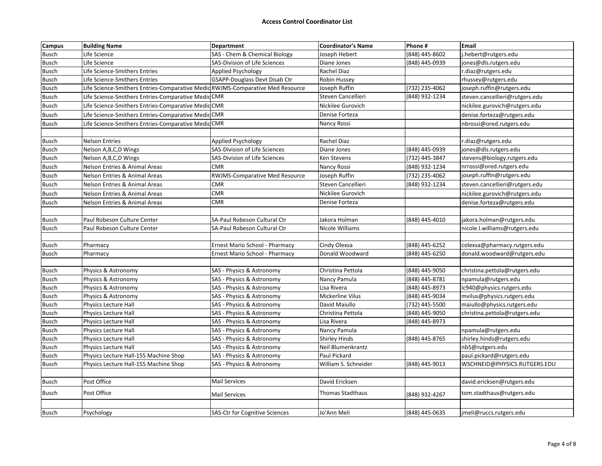| <b>Campus</b> | <b>Building Name</b>                                                           | Department                            | <b>Coordinator's Name</b> | Phone #        | Email                          |
|---------------|--------------------------------------------------------------------------------|---------------------------------------|---------------------------|----------------|--------------------------------|
| <b>Busch</b>  | Life Science                                                                   | SAS - Chem & Chemical Biology         | Joseph Hebert             | (848) 445-8602 | j.hebert@rutgers.edu           |
| <b>Busch</b>  | Life Science                                                                   | SAS-Division of Life Sciences         | Diane Jones               | (848) 445-0939 | jones@dls.rutgers.edu          |
| <b>Busch</b>  | Life Science-Smithers Entries                                                  | Applied Psychology                    | Rachel Diaz               |                | r.diaz@rutgers.edu             |
| <b>Busch</b>  | Life Science-Smithers Entries                                                  | <b>GSAPP-Douglass Devt Disab Ctr</b>  | Robin Hussey              |                | rhussey@rutgers.edu            |
| Busch         | Life Science-Smithers Entries-Comparative Medic RWJMS-Comparative Med Resource |                                       | Joseph Ruffin             | (732) 235-4062 | joseph.ruffin@rutgers.edu      |
| <b>Busch</b>  | Life Science-Smithers Entries-Comparative Medid CMR                            |                                       | Steven Cancellieri        | (848) 932-1234 | steven.cancellieri@rutgers.edu |
| <b>Busch</b>  | Life Science-Smithers Entries-Comparative Medid CMR                            |                                       | Nickilee Gurovich         |                | nickilee.gurovich@rutgers.edu  |
| <b>Busch</b>  | Life Science-Smithers Entries-Comparative Medic CMR                            |                                       | Denise Forteza            |                | denise.forteza@rutgers.edu     |
| <b>Busch</b>  | Life Science-Smithers Entries-Comparative MedicCMR                             |                                       | Nancy Rossi               |                | nbrossi@ored.rutgers.edu       |
|               |                                                                                |                                       |                           |                |                                |
| <b>Busch</b>  | <b>Nelson Entries</b>                                                          | Applied Psychology                    | Rachel Diaz               |                | r.diaz@rutgers.edu             |
| <b>Busch</b>  | Nelson A,B,C,D Wings                                                           | SAS-Division of Life Sciences         | Diane Jones               | (848) 445-0939 | jones@dls.rutgers.edu          |
| <b>Busch</b>  | Nelson A, B, C, D Wings                                                        | SAS-Division of Life Sciences         | Ken Stevens               | (732) 445-3847 | stevens@biology.rutgers.edu    |
| <b>Busch</b>  | Nelson Entries & Animal Areas                                                  | <b>CMR</b>                            | Nancy Rossi               | (848) 932-1234 | nrrossi@ored.rutgers.edu       |
| <b>Busch</b>  | <b>Nelson Entries &amp; Animal Areas</b>                                       | RWJMS-Comparative Med Resource        | Joseph Ruffin             | (732) 235-4062 | joseph.ruffin@rutgers.edu      |
| <b>Busch</b>  | <b>Nelson Entries &amp; Animal Areas</b>                                       | <b>CMR</b>                            | Steven Cancellieri        | (848) 932-1234 | steven.cancellieri@rutgers.edu |
| <b>Busch</b>  | <b>Nelson Entries &amp; Animal Areas</b>                                       | <b>CMR</b>                            | Nickilee Gurovich         |                | nickilee.gurovich@rutgers.edu  |
| <b>Busch</b>  | Nelson Entries & Animal Areas                                                  | <b>CMR</b>                            | Denise Forteza            |                | denise.forteza@rutgers.edu     |
|               |                                                                                |                                       |                           |                |                                |
| <b>Busch</b>  | Paul Robeson Culture Center                                                    | SA-Paul Robeson Cultural Ctr          | Jakora Holman             | (848) 445-4010 | jakora.holman@rutgers.edu      |
| <b>Busch</b>  | Paul Robeson Culture Center                                                    | SA-Paul Robeson Cultural Ctr          | Nicole Williams           |                | nicole.l.williams@rutgers.edu  |
|               |                                                                                |                                       |                           |                |                                |
| <b>Busch</b>  | Pharmacy                                                                       | Ernest Mario School - Pharmacy        | Cindy Olexsa              | (848) 445-6252 | colexsa@pharmacy.rutgers.edu   |
| <b>Busch</b>  | Pharmacy                                                                       | Ernest Mario School - Pharmacy        | Donald Woodward           | (848) 445-6250 | donald.woodward@rutgers.edu    |
|               |                                                                                |                                       |                           |                |                                |
| <b>Busch</b>  | Physics & Astronomy                                                            | SAS - Physics & Astronomy             | Christina Pettola         | (848) 445-9050 | christina.pettola@rutgers.edu  |
| <b>Busch</b>  | Physics & Astronomy                                                            | SAS - Physics & Astronomy             | Nancy Pamula              | (848) 445-8781 | npamula@rutgers.edu            |
| <b>Busch</b>  | Physics & Astronomy                                                            | SAS - Physics & Astronomy             | Lisa Rivera               | (848) 445-8973 | lc940@physics.rutgers.edu      |
| <b>Busch</b>  | Physics & Astronomy                                                            | SAS - Physics & Astronomy             | Mickerline Vilus          | (848) 445-9034 | mvilus@physics.rutgers.edu     |
| <b>Busch</b>  | Physics Lecture Hall                                                           | SAS - Physics & Astronomy             | David Maiullo             | (732) 445-5500 | maiullo@physics.rutgers.edu    |
| <b>Busch</b>  | Physics Lecture Hall                                                           | SAS - Physics & Astronomy             | Christina Pettola         | (848) 445-9050 | christina.pettola@rutgers.edu  |
| Busch         | Physics Lecture Hall                                                           | SAS - Physics & Astronomy             | Lisa Rivera               | (848) 445-8973 |                                |
| <b>Busch</b>  | Physics Lecture Hall                                                           | SAS - Physics & Astronomy             | Nancy Pamula              |                | npamula@rutgers.edu            |
| <b>Busch</b>  | Physics Lecture Hall                                                           | SAS - Physics & Astronomy             | <b>Shirley Hinds</b>      | (848) 445-8765 | shirley.hinds@rutgers.edu      |
| <b>Busch</b>  | Physics Lecture Hall                                                           | SAS - Physics & Astronomy             | Neil Blumenkrantz         |                | nb5@rutgers.edu                |
| <b>Busch</b>  | Physics Lecture Hall-155 Machine Shop                                          | SAS - Physics & Astronomy             | Paul Pickard              |                | paul.pickard@rutgers.edu       |
| <b>Busch</b>  | Physics Lecture Hall-155 Machine Shop                                          | SAS - Physics & Astronomy             | William S. Schneider      | (848) 445-9013 | WSCHNEID@PHYSICS.RUTGERS.EDU   |
|               |                                                                                |                                       |                           |                |                                |
| <b>Busch</b>  | Post Office                                                                    | <b>Mail Services</b>                  | David Ericksen            |                | david.ericksen@rutgers.edu     |
| <b>Busch</b>  | Post Office                                                                    | <b>Mail Services</b>                  | Thomas Stadthaus          | (848) 932-4267 | tom.stadthaus@rutgers.edu      |
|               |                                                                                |                                       |                           |                |                                |
| <b>Busch</b>  | Psychology                                                                     | <b>SAS-Ctr for Cognitive Sciences</b> | Jo'Ann Meli               | (848) 445-0635 | jmeli@ruccs.rutgers.edu        |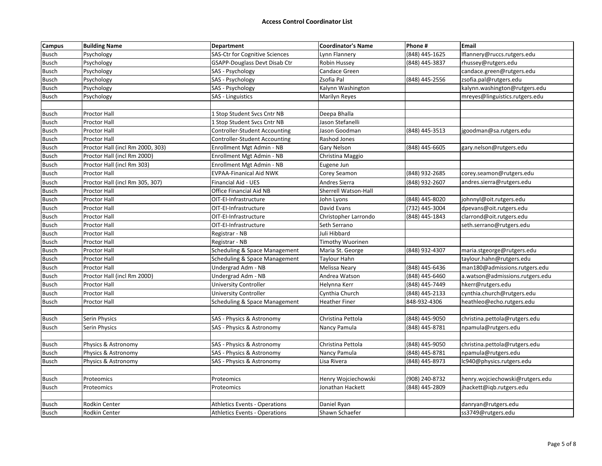## **Access Control Coordinator List**

| Campus       | <b>Building Name</b>             | <b>Department</b>                    | <b>Coordinator's Name</b> | Phone #        | Email                           |
|--------------|----------------------------------|--------------------------------------|---------------------------|----------------|---------------------------------|
| <b>Busch</b> | Psychology                       | SAS-Ctr for Cognitive Sciences       | Lynn Flannery             | (848) 445-1625 | Iflannery@ruccs.rutgers.edu     |
| Busch        | Psychology                       | GSAPP-Douglass Devt Disab Ctr        | Robin Hussey              | (848) 445-3837 | rhussey@rutgers.edu             |
| Busch        | Psychology                       | SAS - Psychology                     | Candace Green             |                | candace.green@rutgers.edu       |
| Busch        | Psychology                       | SAS - Psychology                     | Zsofia Pal                | (848) 445-2556 | zsofia.pal@rutgers.edu          |
| Busch        | Psychology                       | SAS - Psychology                     | Kalynn Washington         |                | kalynn.washington@rutgers.edu   |
| Busch        | Psychology                       | SAS - Linguistics                    | Marilyn Reyes             |                | mreyes@linguistics.rutgers.edu  |
|              |                                  |                                      |                           |                |                                 |
| Busch        | <b>Proctor Hall</b>              | 1 Stop Student Svcs Cntr NB          | Deepa Bhalla              |                |                                 |
| Busch        | Proctor Hall                     | 1 Stop Student Svcs Cntr NB          | Jason Stefanelli          |                |                                 |
| <b>Busch</b> | Proctor Hall                     | Controller-Student Accounting        | Jason Goodman             | (848) 445-3513 | jgoodman@sa.rutgers.edu         |
| <b>Busch</b> | <b>Proctor Hall</b>              | Controller-Student Accounting        | Rashod Jones              |                |                                 |
| <b>Busch</b> | Proctor Hall (incl Rm 200D, 303) | Enrollment Mgt Admin - NB            | Gary Nelson               | (848) 445-6605 | gary.nelson@rutgers.edu         |
| <b>Busch</b> | Proctor Hall (incl Rm 200D)      | Enrollment Mgt Admin - NB            | Christina Maggio          |                |                                 |
| <b>Busch</b> | Proctor Hall (incl Rm 303)       | Enrollment Mgt Admin - NB            | Eugene Jun                |                |                                 |
| Busch        | Proctor Hall                     | <b>EVPAA-Finanical Aid NWK</b>       | Corey Seamon              | (848) 932-2685 | corey.seamon@rutgers.edu        |
| <b>Busch</b> | Proctor Hall (incl Rm 305, 307)  | Financial Aid - UES                  | Andres Sierra             | (848) 932-2607 | andres.sierra@rutgers.edu       |
| <b>Busch</b> | <b>Proctor Hall</b>              | Office Financial Aid NB              | Sherrell Watson-Hall      |                |                                 |
| <b>Busch</b> | Proctor Hall                     | OIT-EI-Infrastructure                | John Lyons                | (848) 445-8020 | johnnyl@oit.rutgers.edu         |
| Busch        | Proctor Hall                     | OIT-EI-Infrastructure                | David Evans               | (732) 445-3004 | dpevans@oit.rutgers.edu         |
| <b>Busch</b> | <b>Proctor Hall</b>              | OIT-EI-Infrastructure                | Christopher Larrondo      | (848) 445-1843 | clarrond@oit.rutgers.edu        |
| Busch        | Proctor Hall                     | OIT-EI-Infrastructure                | Seth Serrano              |                | seth.serrano@rutgers.edu        |
| Busch        | Proctor Hall                     | Registrar - NB                       | Juli Hibbard              |                |                                 |
| Busch        | Proctor Hall                     | Registrar - NB                       | <b>Timothy Wuorinen</b>   |                |                                 |
| Busch        | Proctor Hall                     | Scheduling & Space Management        | Maria St. George          | (848) 932-4307 | maria.stgeorge@rutgers.edu      |
| <b>Busch</b> | Proctor Hall                     | Scheduling & Space Management        | Taylour Hahn              |                | taylour.hahn@rutgers.edu        |
| <b>Busch</b> | <b>Proctor Hall</b>              | Undergrad Adm - NB                   | Melissa Neary             | (848) 445-6436 | man180@admissions.rutgers.edu   |
| <b>Busch</b> | Proctor Hall (incl Rm 200D)      | Undergrad Adm - NB                   | Andrea Watson             | (848) 445-6460 | a.watson@admissions.rutgers.edu |
| Busch        | Proctor Hall                     | University Controller                | Helynna Kerr              | (848) 445-7449 | hkerr@rutgers.edu               |
| <b>Busch</b> | Proctor Hall                     | University Controller                | Cynthia Church            | (848) 445-2133 | cynthia.church@rutgers.edu      |
| <b>Busch</b> | Proctor Hall                     | Scheduling & Space Management        | <b>Heather Finer</b>      | 848-932-4306   | heathleo@echo.rutgers.edu       |
|              |                                  |                                      |                           |                |                                 |
| Busch        | Serin Physics                    | SAS - Physics & Astronomy            | Christina Pettola         | (848) 445-9050 | christina.pettola@rutgers.edu   |
| <b>Busch</b> | Serin Physics                    | SAS - Physics & Astronomy            | Nancy Pamula              | (848) 445-8781 | npamula@rutgers.edu             |
|              |                                  |                                      |                           |                |                                 |
| Busch        | Physics & Astronomy              | SAS - Physics & Astronomy            | Christina Pettola         | (848) 445-9050 | christina.pettola@rutgers.edu   |
| <b>Busch</b> | Physics & Astronomy              | SAS - Physics & Astronomy            | Nancy Pamula              | (848) 445-8781 | npamula@rutgers.edu             |
| Busch        | Physics & Astronomy              | SAS - Physics & Astronomy            | Lisa Rivera               | (848) 445-8973 | lc940@physics.rutgers.edu       |
|              |                                  |                                      |                           |                |                                 |
| <b>Busch</b> | Proteomics                       | Proteomics                           | Henry Wojciechowski       | (908) 240-8732 | henry.wojciechowski@rutgers.edu |
| <b>Busch</b> | Proteomics                       | Proteomics                           | Jonathan Hackett          | (848) 445-2809 | jhackett@iqb.rutgers.edu        |
|              |                                  |                                      |                           |                |                                 |
| <b>Busch</b> | Rodkin Center                    | <b>Athletics Events - Operations</b> | Daniel Ryan               |                | danryan@rutgers.edu             |
| <b>Busch</b> | Rodkin Center                    | <b>Athletics Events - Operations</b> | Shawn Schaefer            |                | ss3749@rutgers.edu              |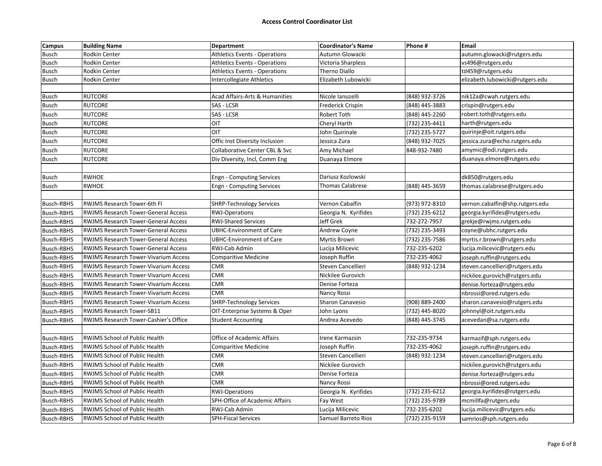| <b>Campus</b>     | <b>Building Name</b>                        | <b>Department</b>                         | <b>Coordinator's Name</b> | Phone #        | Email                           |
|-------------------|---------------------------------------------|-------------------------------------------|---------------------------|----------------|---------------------------------|
| <b>Busch</b>      | Rodkin Center                               | <b>Athletics Events - Operations</b>      | Autumn Glowacki           |                | autumn.glowacki@rutgers.edu     |
| Busch             | Rodkin Center                               | <b>Athletics Events - Operations</b>      | Victoria Sharpless        |                | vs496@rutgers.edu               |
| Busch             | Rodkin Center                               | <b>Athletics Events - Operations</b>      | Therno Diallo             |                | td459@rutgers.edu               |
| <b>Busch</b>      | Rodkin Center                               | Intercollegiate Athletics                 | Elizabeth Lubowicki       |                | elizabeth.lubowicki@rutgers.edu |
|                   |                                             |                                           |                           |                |                                 |
| Busch             | <b>RUTCORE</b>                              | <b>Acad Affairs-Arts &amp; Humanities</b> | Nicole Ianuzelli          | (848) 932-3726 | nik12a@cwah.rutgers.edu         |
| <b>Busch</b>      | <b>RUTCORE</b>                              | SAS - LCSR                                | Frederick Crispin         | (848) 445-3883 | crispin@rutgers.edu             |
| Busch             | <b>RUTCORE</b>                              | SAS - LCSR                                | Robert Toth               | (848) 445-2260 | robert.toth@rutgers.edu         |
| Busch             | <b>RUTCORE</b>                              | OIT                                       | Cheryl Harth              | (732) 235-4411 | harth@rutgers.edu               |
| Busch             | <b>RUTCORE</b>                              | <b>OIT</b>                                | John Quirinale            | (732) 235-5727 | quirinje@oit.rutgers.edu        |
| <b>Busch</b>      | <b>RUTCORE</b>                              | Offic Inst Diversity Inclusion            | Jessica Zura              | (848) 932-7025 | jessica.zura@echo.rutgers.edu   |
| Busch             | <b>RUTCORE</b>                              | Collaborative Center CBL & Svc            | Amy Michael               | 848-932-7480   | amymic@odi.rutgers.edu          |
| <b>Busch</b>      | <b>RUTCORE</b>                              | Div Diversity, Incl, Comm Eng             | Duanaya Elmore            |                | duanaya.elmore@rutgers.edu      |
|                   |                                             |                                           |                           |                |                                 |
| <b>Busch</b>      | <b>RWHOE</b>                                | <b>Engn - Computing Services</b>          | Dariusz Kozlowski         |                | dk850@rutgers.edu               |
| Busch             | <b>RWHOE</b>                                | <b>Engn - Computing Services</b>          | Thomas Calabrese          | (848) 445-3659 | thomas.calabrese@rutgers.edu    |
|                   |                                             |                                           |                           |                |                                 |
| Busch-RBHS        | RWJMS Research Tower-6th Fl                 | <b>SHRP-Technology Services</b>           | Vernon Cabalfin           | (973) 972-8310 | vernon.cabalfin@shp.rutgers.edu |
| <b>Busch-RBHS</b> | <b>RWJMS Research Tower-General Access</b>  | <b>RWJ-Operations</b>                     | Georgia N. Kyrifides      | (732) 235-6212 | georgia.kyrifides@rutgers.edu   |
| Busch-RBHS        | <b>RWJMS Research Tower-General Access</b>  | <b>RWJ-Shared Services</b>                | Jeff Grek                 | 732-272-7957   | grekje@rwjms.rutgers.edu        |
| <b>Busch-RBHS</b> | <b>RWJMS Research Tower-General Access</b>  | <b>UBHC-Environment of Care</b>           | Andrew Coyne              | (732) 235-3493 | coyne@ubhc.rutgers.edu          |
| <b>Busch-RBHS</b> | <b>RWJMS Research Tower-General Access</b>  | <b>UBHC-Environment of Care</b>           | Myrtis Brown              | (732) 235-7586 | myrtis.r.brown@rutgers.edu      |
| <b>Busch-RBHS</b> | <b>RWJMS Research Tower-General Access</b>  | RWJ-Cab Admin                             | Lucija Milicevic          | 732-235-6202   | lucija.milicevic@rutgers.edu    |
| Busch-RBHS        | <b>RWJMS Research Tower-Vivarium Access</b> | Comparitive Medicine                      | Joseph Ruffin             | 732-235-4062   | joseph.ruffin@rutgers.edu       |
| Busch-RBHS        | <b>RWJMS Research Tower-Vivarium Access</b> | <b>CMR</b>                                | Steven Cancellieri        | (848) 932-1234 | steven.cancellieri@rutgers.edu  |
| Busch-RBHS        | <b>RWJMS Research Tower-Vivarium Access</b> | <b>CMR</b>                                | Nickilee Gurovich         |                | nickilee.gurovich@rutgers.edu   |
| <b>Busch-RBHS</b> | <b>RWJMS Research Tower-Vivarium Access</b> | <b>CMR</b>                                | Denise Forteza            |                | denise.forteza@rutgers.edu      |
| Busch-RBHS        | <b>RWJMS Research Tower-Vivarium Access</b> | <b>CMR</b>                                | Nancy Rossi               |                | nbrossi@ored.rutgers.edu        |
| Busch-RBHS        | <b>RWJMS Research Tower-Vivarium Access</b> | <b>SHRP-Technology Services</b>           | Sharon Canavesio          | (908) 889-2400 | sharon.canavesio@rutgers.edu    |
| Busch-RBHS        | <b>RWJMS Research Tower-SB11</b>            | OIT-Enterprise Systems & Oper             | John Lyons                | (732) 445-8020 | johnnyl@oit.rutgers.edu         |
| <b>Busch-RBHS</b> | RWJMS Research Tower-Cashier's Office       | <b>Student Accounting</b>                 | Andrea Acevedo            | (848) 445-3745 | acevedan@sa.rutgers.edu         |
|                   |                                             |                                           |                           |                |                                 |
| <b>Busch-RBHS</b> | <b>RWJMS School of Public Health</b>        | <b>Office of Academic Affairs</b>         | Irene Karmazsin           | 732-235-9734   | karmazif@sph.rutgers.edu        |
| Busch-RBHS        | RWJMS School of Public Health               | Comparitive Medicine                      | Joseph Ruffin             | 732-235-4062   | joseph.ruffin@rutgers.edu       |
| Busch-RBHS        | <b>RWJMS School of Public Health</b>        | <b>CMR</b>                                | Steven Cancellieri        | (848) 932-1234 | steven.cancellieri@rutgers.edu  |
| <b>Busch-RBHS</b> | RWJMS School of Public Health               | <b>CMR</b>                                | Nickilee Gurovich         |                | nickilee.gurovich@rutgers.edu   |
| Busch-RBHS        | RWJMS School of Public Health               | <b>CMR</b>                                | Denise Forteza            |                | denise.forteza@rutgers.edu      |
| Busch-RBHS        | RWJMS School of Public Health               | <b>CMR</b>                                | Nancy Rossi               |                | nbrossi@ored.rutgers.edu        |
| <b>Busch-RBHS</b> | <b>RWJMS School of Public Health</b>        | <b>RWJ-Operations</b>                     | Georgia N. Kyrifides      | (732) 235-6212 | georgia.kyrifides@rutgers.edu   |
| <b>Busch-RBHS</b> | RWJMS School of Public Health               | SPH-Office of Academic Affairs            | Fay West                  | (732) 235-9789 | mcmillfa@rutgers.edu            |
| <b>Busch-RBHS</b> | RWJMS School of Public Health               | RWJ-Cab Admin                             | Lucija Milicevic          | 732-235-6202   | lucija.milicevic@rutgers.edu    |
|                   |                                             |                                           |                           |                |                                 |
| <b>Busch-RBHS</b> | RWJMS School of Public Health               | <b>SPH-Fiscal Services</b>                | Samuel Barreto Rios       | (732) 235-9159 | samrios@sph.rutgers.edu         |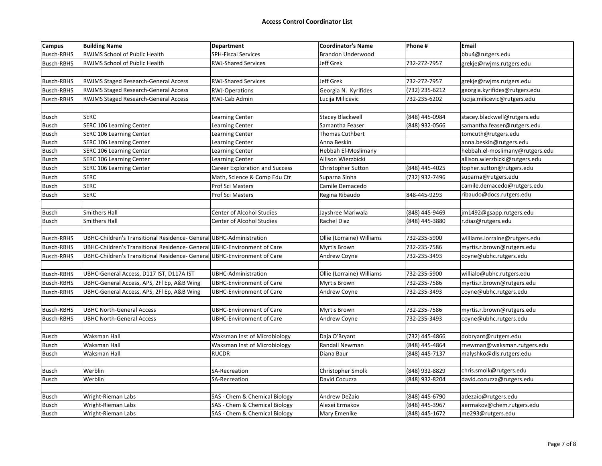| <b>Campus</b>     | <b>Building Name</b>                                                     | Department                            | <b>Coordinator's Name</b> | Phone #        | <b>Email</b>                    |
|-------------------|--------------------------------------------------------------------------|---------------------------------------|---------------------------|----------------|---------------------------------|
| <b>Busch-RBHS</b> | RWJMS School of Public Health                                            | <b>SPH-Fiscal Services</b>            | Brandon Underwood         |                | bbu4@rutgers.edu                |
| <b>Busch-RBHS</b> | RWJMS School of Public Health                                            | <b>RWJ-Shared Services</b>            | Jeff Grek                 | 732-272-7957   | grekje@rwjms.rutgers.edu        |
|                   |                                                                          |                                       |                           |                |                                 |
| Busch-RBHS        | RWJMS Staged Research-General Access                                     | <b>RWJ-Shared Services</b>            | Jeff Grek                 | 732-272-7957   | grekje@rwjms.rutgers.edu        |
| <b>Busch-RBHS</b> | <b>RWJMS Staged Research-General Access</b>                              | <b>RWJ-Operations</b>                 | Georgia N. Kyrifides      | (732) 235-6212 | georgia.kyrifides@rutgers.edu   |
| Busch-RBHS        | RWJMS Staged Research-General Access                                     | RWJ-Cab Admin                         | Lucija Milicevic          | 732-235-6202   | lucija.milicevic@rutgers.edu    |
|                   |                                                                          |                                       |                           |                |                                 |
| <b>Busch</b>      | <b>SERC</b>                                                              | Learning Center                       | <b>Stacey Blackwell</b>   | (848) 445-0984 | stacey.blackwell@rutgers.edu    |
| <b>Busch</b>      | SERC 106 Learning Center                                                 | Learning Center                       | Samantha Feaser           | (848) 932-0566 | samantha.feaser@rutgers.edu     |
| Busch             | SERC 106 Learning Center                                                 | <b>Learning Center</b>                | <b>Thomas Cuthbert</b>    |                | tomcuth@rutgers.edu             |
| <b>Busch</b>      | <b>SERC 106 Learning Center</b>                                          | <b>Learning Center</b>                | Anna Beskin               |                | anna.beskin@rutgers.edu         |
| <b>Busch</b>      | SERC 106 Learning Center                                                 | <b>Learning Center</b>                | Hebbah El-Moslimany       |                | hebbah.el-moslimany@rutgers.edu |
| <b>Busch</b>      | SERC 106 Learning Center                                                 | <b>Learning Center</b>                | Allison Wierzbicki        |                | allison.wierzbicki@rutgers.edu  |
| <b>Busch</b>      | <b>SERC 106 Learning Center</b>                                          | <b>Career Exploration and Success</b> | Christopher Sutton        | (848) 445-4025 | topher.sutton@rutgers.edu       |
| <b>Busch</b>      | SERC                                                                     | Math, Science & Comp Edu Ctr          | Suparna Sinha             | (732) 932-7496 | suparna@rutgers.edu             |
| <b>Busch</b>      | <b>SERC</b>                                                              | Prof Sci Masters                      | Camile Demacedo           |                | camile.demacedo@rutgers.edu     |
| <b>Busch</b>      | <b>SERC</b>                                                              | Prof Sci Masters                      | Regina Ribaudo            | 848-445-9293   | ribaudo@docs.rutgers.edu        |
|                   |                                                                          |                                       |                           |                |                                 |
| <b>Busch</b>      | Smithers Hall                                                            | Center of Alcohol Studies             | Jayshree Mariwala         | (848) 445-9469 | jm1492@gsapp.rutgers.edu        |
| <b>Busch</b>      | Smithers Hall                                                            | <b>Center of Alcohol Studies</b>      | Rachel Diaz               | (848) 445-3880 | diaz@rutgers.edu.               |
|                   |                                                                          |                                       |                           |                |                                 |
| Busch-RBHS        | UBHC-Children's Transitional Residence- General UBHC-Administration      |                                       | Ollie (Lorraine) Williams | 732-235-5900   | williams.lorraine@rutgers.edu   |
| <b>Busch-RBHS</b> | UBHC-Children's Transitional Residence- General UBHC-Environment of Care |                                       | Myrtis Brown              | 732-235-7586   | myrtis.r.brown@rutgers.edu      |
| <b>Busch-RBHS</b> | UBHC-Children's Transitional Residence- General UBHC-Environment of Care |                                       | Andrew Coyne              | 732-235-3493   | coyne@ubhc.rutgers.edu          |
|                   |                                                                          |                                       |                           |                |                                 |
| Busch-RBHS        | UBHC-General Access, D117 IST, D117A IST                                 | <b>UBHC-Administration</b>            | Ollie (Lorraine) Williams | 732-235-5900   | willialo@ubhc.rutgers.edu       |
| <b>Busch-RBHS</b> | UBHC-General Access, APS, 2FI Ep, A&B Wing                               | <b>UBHC-Environment of Care</b>       | Myrtis Brown              | 732-235-7586   | myrtis.r.brown@rutgers.edu      |
| <b>Busch-RBHS</b> | UBHC-General Access, APS, 2Fl Ep, A&B Wing                               | <b>UBHC-Environment of Care</b>       | Andrew Coyne              | 732-235-3493   | coyne@ubhc.rutgers.edu          |
|                   |                                                                          |                                       |                           |                |                                 |
| <b>Busch-RBHS</b> | <b>UBHC North-General Access</b>                                         | <b>UBHC-Environment of Care</b>       | Myrtis Brown              | 732-235-7586   | myrtis.r.brown@rutgers.edu      |
| Busch-RBHS        | <b>UBHC North-General Access</b>                                         | <b>UBHC-Environment of Care</b>       | Andrew Coyne              | 732-235-3493   | coyne@ubhc.rutgers.edu          |
|                   |                                                                          |                                       |                           |                |                                 |
| <b>Busch</b>      | Waksman Hall                                                             | Waksman Inst of Microbiology          | Daja O'Bryant             | (732) 445-4866 | dobryant@rutgers.edu            |
| <b>Busch</b>      | Waksman Hall                                                             | Waksman Inst of Microbiology          | Randall Newman            | (848) 445-4864 | rnewman@waksman.rutgers.edu     |
| <b>Busch</b>      | Waksman Hall                                                             | <b>RUCDR</b>                          | Diana Baur                | (848) 445-7137 | malyshko@dls.rutgers.edu        |
|                   |                                                                          |                                       |                           |                |                                 |
| <b>Busch</b>      | Werblin                                                                  | SA-Recreation                         | Christopher Smolk         | (848) 932-8829 | chris.smolk@rutgers.edu         |
| <b>Busch</b>      | Werblin                                                                  | SA-Recreation                         | David Cocuzza             | (848) 932-8204 | david.cocuzza@rutgers.edu       |
|                   |                                                                          |                                       |                           |                |                                 |
| <b>Busch</b>      | Wright-Rieman Labs                                                       | SAS - Chem & Chemical Biology         | Andrew DeZaio             | (848) 445-6790 | adezaio@rutgers.edu             |
| <b>Busch</b>      | Wright-Rieman Labs                                                       | SAS - Chem & Chemical Biology         | Alexei Ermakov            | (848) 445-3967 | aermakov@chem.rutgers.edu       |
| <b>Busch</b>      | Wright-Rieman Labs                                                       | SAS - Chem & Chemical Biology         | Mary Emenike              | (848) 445-1672 | me293@rutgers.edu               |